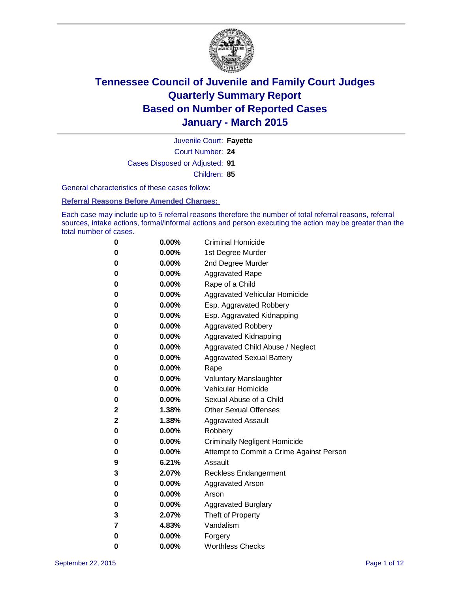

Court Number: **24** Juvenile Court: **Fayette** Cases Disposed or Adjusted: **91** Children: **85**

General characteristics of these cases follow:

**Referral Reasons Before Amended Charges:** 

Each case may include up to 5 referral reasons therefore the number of total referral reasons, referral sources, intake actions, formal/informal actions and person executing the action may be greater than the total number of cases.

| 0            | $0.00\%$ | <b>Criminal Homicide</b>                 |
|--------------|----------|------------------------------------------|
| 0            | $0.00\%$ | 1st Degree Murder                        |
| $\bf{0}$     | $0.00\%$ | 2nd Degree Murder                        |
| 0            | $0.00\%$ | <b>Aggravated Rape</b>                   |
| 0            | $0.00\%$ | Rape of a Child                          |
| 0            | $0.00\%$ | Aggravated Vehicular Homicide            |
| $\bf{0}$     | $0.00\%$ | Esp. Aggravated Robbery                  |
| 0            | $0.00\%$ | Esp. Aggravated Kidnapping               |
| $\bf{0}$     | 0.00%    | <b>Aggravated Robbery</b>                |
| $\bf{0}$     | $0.00\%$ | <b>Aggravated Kidnapping</b>             |
| 0            | 0.00%    | Aggravated Child Abuse / Neglect         |
| 0            | 0.00%    | <b>Aggravated Sexual Battery</b>         |
| $\bf{0}$     | $0.00\%$ | Rape                                     |
| 0            | $0.00\%$ | <b>Voluntary Manslaughter</b>            |
| 0            | $0.00\%$ | <b>Vehicular Homicide</b>                |
| $\bf{0}$     | $0.00\%$ | Sexual Abuse of a Child                  |
| $\mathbf{2}$ | 1.38%    | <b>Other Sexual Offenses</b>             |
| 2            | 1.38%    | <b>Aggravated Assault</b>                |
| $\bf{0}$     | $0.00\%$ | Robbery                                  |
| $\bf{0}$     | $0.00\%$ | <b>Criminally Negligent Homicide</b>     |
| 0            | $0.00\%$ | Attempt to Commit a Crime Against Person |
| 9            | 6.21%    | Assault                                  |
| 3            | 2.07%    | <b>Reckless Endangerment</b>             |
| 0            | $0.00\%$ | <b>Aggravated Arson</b>                  |
| 0            | $0.00\%$ | Arson                                    |
| 0            | $0.00\%$ | <b>Aggravated Burglary</b>               |
| 3            | 2.07%    | Theft of Property                        |
| 7            | 4.83%    | Vandalism                                |
| $\bf{0}$     | $0.00\%$ | Forgery                                  |
| 0            | 0.00%    | <b>Worthless Checks</b>                  |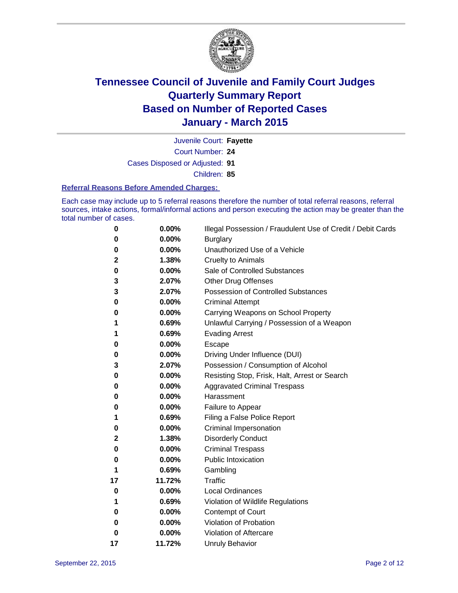

Court Number: **24** Juvenile Court: **Fayette** Cases Disposed or Adjusted: **91** Children: **85**

#### **Referral Reasons Before Amended Charges:**

Each case may include up to 5 referral reasons therefore the number of total referral reasons, referral sources, intake actions, formal/informal actions and person executing the action may be greater than the total number of cases.

| 0  | 0.00%  | Illegal Possession / Fraudulent Use of Credit / Debit Cards |
|----|--------|-------------------------------------------------------------|
| 0  | 0.00%  | <b>Burglary</b>                                             |
| 0  | 0.00%  | Unauthorized Use of a Vehicle                               |
| 2  | 1.38%  | <b>Cruelty to Animals</b>                                   |
| 0  | 0.00%  | Sale of Controlled Substances                               |
| 3  | 2.07%  | <b>Other Drug Offenses</b>                                  |
| 3  | 2.07%  | <b>Possession of Controlled Substances</b>                  |
| 0  | 0.00%  | <b>Criminal Attempt</b>                                     |
| 0  | 0.00%  | Carrying Weapons on School Property                         |
| 1  | 0.69%  | Unlawful Carrying / Possession of a Weapon                  |
| 1  | 0.69%  | <b>Evading Arrest</b>                                       |
| 0  | 0.00%  | Escape                                                      |
| 0  | 0.00%  | Driving Under Influence (DUI)                               |
| 3  | 2.07%  | Possession / Consumption of Alcohol                         |
| 0  | 0.00%  | Resisting Stop, Frisk, Halt, Arrest or Search               |
| 0  | 0.00%  | <b>Aggravated Criminal Trespass</b>                         |
| 0  | 0.00%  | Harassment                                                  |
| 0  | 0.00%  | Failure to Appear                                           |
| 1  | 0.69%  | Filing a False Police Report                                |
| 0  | 0.00%  | Criminal Impersonation                                      |
| 2  | 1.38%  | <b>Disorderly Conduct</b>                                   |
| 0  | 0.00%  | <b>Criminal Trespass</b>                                    |
| 0  | 0.00%  | <b>Public Intoxication</b>                                  |
| 1  | 0.69%  | Gambling                                                    |
| 17 | 11.72% | <b>Traffic</b>                                              |
| 0  | 0.00%  | <b>Local Ordinances</b>                                     |
| 1  | 0.69%  | Violation of Wildlife Regulations                           |
| 0  | 0.00%  | Contempt of Court                                           |
| 0  | 0.00%  | Violation of Probation                                      |
| 0  | 0.00%  | Violation of Aftercare                                      |
| 17 | 11.72% | <b>Unruly Behavior</b>                                      |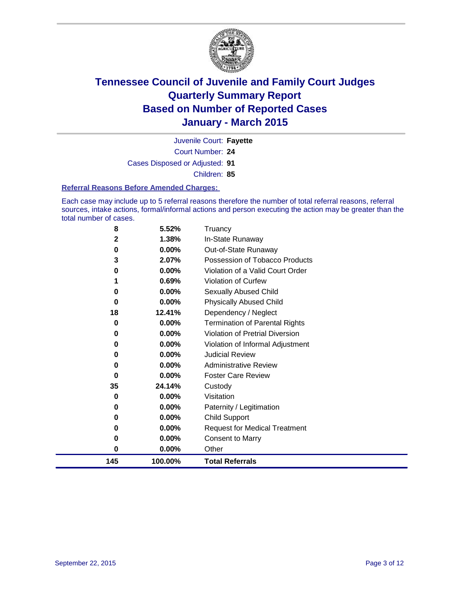

Court Number: **24** Juvenile Court: **Fayette** Cases Disposed or Adjusted: **91** Children: **85**

#### **Referral Reasons Before Amended Charges:**

Each case may include up to 5 referral reasons therefore the number of total referral reasons, referral sources, intake actions, formal/informal actions and person executing the action may be greater than the total number of cases.

| 8   | 5.52%    | Truancy                                |
|-----|----------|----------------------------------------|
| 2   | 1.38%    | In-State Runaway                       |
| 0   | 0.00%    | Out-of-State Runaway                   |
| 3   | 2.07%    | Possession of Tobacco Products         |
| 0   | 0.00%    | Violation of a Valid Court Order       |
|     | 0.69%    | <b>Violation of Curfew</b>             |
| 0   | 0.00%    | Sexually Abused Child                  |
| 0   | 0.00%    | <b>Physically Abused Child</b>         |
| 18  | 12.41%   | Dependency / Neglect                   |
| 0   | 0.00%    | <b>Termination of Parental Rights</b>  |
| 0   | 0.00%    | <b>Violation of Pretrial Diversion</b> |
| 0   | 0.00%    | Violation of Informal Adjustment       |
| 0   | $0.00\%$ | <b>Judicial Review</b>                 |
| 0   | 0.00%    | <b>Administrative Review</b>           |
| 0   | 0.00%    | <b>Foster Care Review</b>              |
| 35  | 24.14%   | Custody                                |
| 0   | 0.00%    | Visitation                             |
| 0   | 0.00%    | Paternity / Legitimation               |
| 0   | 0.00%    | <b>Child Support</b>                   |
| 0   | 0.00%    | <b>Request for Medical Treatment</b>   |
| 0   | 0.00%    | <b>Consent to Marry</b>                |
| 0   | 0.00%    | Other                                  |
| 145 | 100.00%  | <b>Total Referrals</b>                 |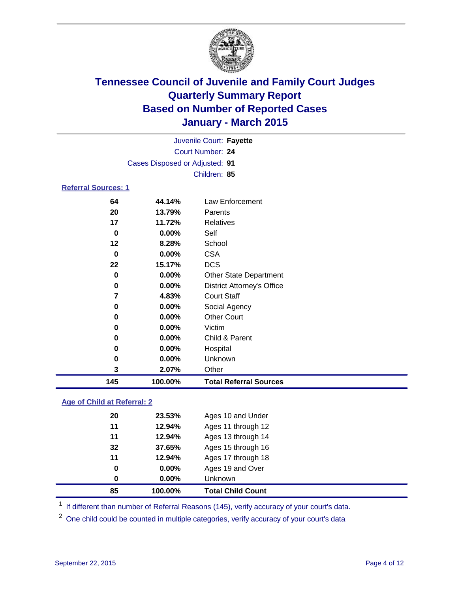

|                            |                                | Juvenile Court: Fayette |  |  |
|----------------------------|--------------------------------|-------------------------|--|--|
|                            | Court Number: 24               |                         |  |  |
|                            | Cases Disposed or Adjusted: 91 |                         |  |  |
|                            | Children: 85                   |                         |  |  |
| <b>Referral Sources: 1</b> |                                |                         |  |  |
| 64                         | 44.14%                         | Law Enforcement         |  |  |
| 20                         | 13.79%                         | Parents                 |  |  |
| 17                         | 11.72%                         | <b>Relatives</b>        |  |  |

| 145 | 100.00%  | <b>Total Referral Sources</b>     |
|-----|----------|-----------------------------------|
| 3   | 2.07%    | Other                             |
| 0   | $0.00\%$ | Unknown                           |
| 0   | 0.00%    | Hospital                          |
| 0   | 0.00%    | Child & Parent                    |
| 0   | $0.00\%$ | Victim                            |
| 0   | 0.00%    | <b>Other Court</b>                |
| 0   | 0.00%    | Social Agency                     |
|     | 4.83%    | <b>Court Staff</b>                |
| 0   | 0.00%    | <b>District Attorney's Office</b> |
| 0   | 0.00%    | <b>Other State Department</b>     |
| 22  | 15.17%   | <b>DCS</b>                        |
| 0   | 0.00%    | <b>CSA</b>                        |
| 12  | 8.28%    | School                            |
| 0   | 0.00%    | Self                              |
| 17  | 11.72%   | Relatives                         |

### **Age of Child at Referral: 2**

| 0  | $0.00\%$ | <b>Unknown</b>     |
|----|----------|--------------------|
| 0  | $0.00\%$ | Ages 19 and Over   |
| 11 | 12.94%   | Ages 17 through 18 |
| 32 | 37.65%   | Ages 15 through 16 |
| 11 | 12.94%   | Ages 13 through 14 |
| 11 | 12.94%   | Ages 11 through 12 |
| 20 | 23.53%   | Ages 10 and Under  |
|    |          |                    |

<sup>1</sup> If different than number of Referral Reasons (145), verify accuracy of your court's data.

One child could be counted in multiple categories, verify accuracy of your court's data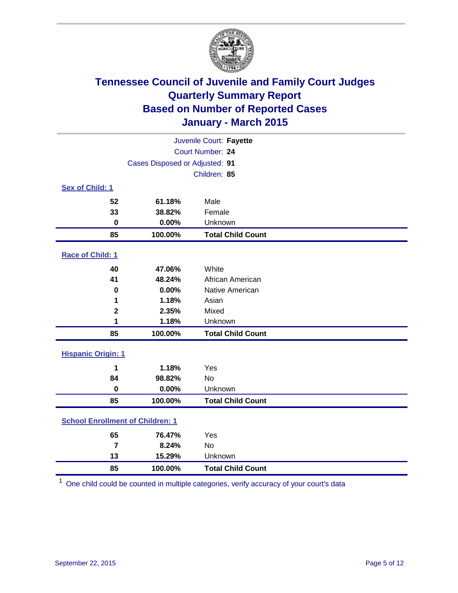

| Juvenile Court: Fayette                 |                                |                          |  |  |
|-----------------------------------------|--------------------------------|--------------------------|--|--|
|                                         | Court Number: 24               |                          |  |  |
|                                         | Cases Disposed or Adjusted: 91 |                          |  |  |
|                                         |                                | Children: 85             |  |  |
| <b>Sex of Child: 1</b>                  |                                |                          |  |  |
| 52                                      | 61.18%                         | Male                     |  |  |
| 33                                      | 38.82%                         | Female                   |  |  |
| $\mathbf 0$                             | 0.00%                          | Unknown                  |  |  |
| 85                                      | 100.00%                        | <b>Total Child Count</b> |  |  |
| Race of Child: 1                        |                                |                          |  |  |
| 40                                      | 47.06%                         | White                    |  |  |
| 41                                      | 48.24%                         | African American         |  |  |
| 0                                       | 0.00%                          | Native American          |  |  |
| 1                                       | 1.18%                          | Asian                    |  |  |
| $\mathbf 2$                             | 2.35%                          | Mixed                    |  |  |
| 1                                       | 1.18%                          | Unknown                  |  |  |
| 85                                      | 100.00%                        | <b>Total Child Count</b> |  |  |
| <b>Hispanic Origin: 1</b>               |                                |                          |  |  |
| 1                                       | 1.18%                          | Yes                      |  |  |
| 84                                      | 98.82%                         | <b>No</b>                |  |  |
| $\bf{0}$                                | 0.00%                          | Unknown                  |  |  |
| 85                                      | 100.00%                        | <b>Total Child Count</b> |  |  |
| <b>School Enrollment of Children: 1</b> |                                |                          |  |  |
| 65                                      | 76.47%                         | Yes                      |  |  |
| $\overline{7}$                          | 8.24%                          | <b>No</b>                |  |  |
| 13                                      | 15.29%                         | Unknown                  |  |  |
| 85                                      | 100.00%                        | <b>Total Child Count</b> |  |  |

One child could be counted in multiple categories, verify accuracy of your court's data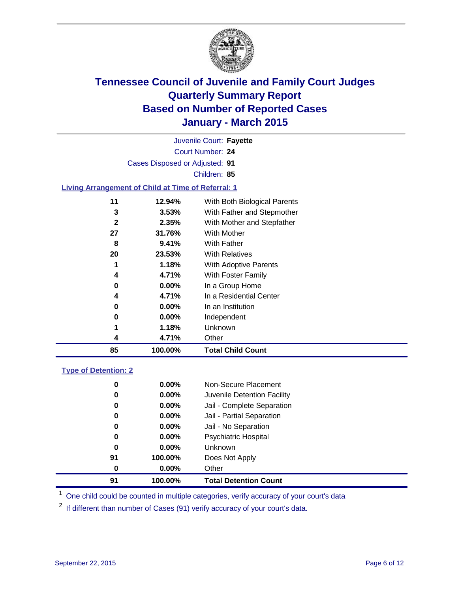

| Juvenile Court: Fayette        |                                                           |                              |  |  |  |
|--------------------------------|-----------------------------------------------------------|------------------------------|--|--|--|
| Court Number: 24               |                                                           |                              |  |  |  |
| Cases Disposed or Adjusted: 91 |                                                           |                              |  |  |  |
|                                | Children: 85                                              |                              |  |  |  |
|                                | <b>Living Arrangement of Child at Time of Referral: 1</b> |                              |  |  |  |
|                                |                                                           |                              |  |  |  |
| 11                             | 12.94%                                                    | With Both Biological Parents |  |  |  |
| 3                              | 3.53%                                                     | With Father and Stepmother   |  |  |  |
| $\mathbf{2}$                   | 2.35%                                                     | With Mother and Stepfather   |  |  |  |
| 27                             | 31.76%                                                    | With Mother                  |  |  |  |
| 8                              | 9.41%                                                     | With Father                  |  |  |  |
| 20                             | 23.53%                                                    | <b>With Relatives</b>        |  |  |  |
|                                | 1.18%                                                     | With Adoptive Parents        |  |  |  |
| 4                              | 4.71%                                                     | With Foster Family           |  |  |  |
| 0                              | $0.00\%$                                                  | In a Group Home              |  |  |  |
| 4                              | 4.71%                                                     | In a Residential Center      |  |  |  |
| 0                              | $0.00\%$                                                  | In an Institution            |  |  |  |
| 0                              | $0.00\%$                                                  | Independent                  |  |  |  |
|                                | 1.18%                                                     | Unknown                      |  |  |  |
| 4                              | 4.71%                                                     | Other                        |  |  |  |
| 85                             | 100.00%                                                   | <b>Total Child Count</b>     |  |  |  |
|                                |                                                           |                              |  |  |  |

### **Type of Detention: 2**

| 91 | 100.00%  | <b>Total Detention Count</b> |
|----|----------|------------------------------|
| 0  | $0.00\%$ | Other                        |
| 91 | 100.00%  | Does Not Apply               |
| 0  | $0.00\%$ | <b>Unknown</b>               |
| 0  | $0.00\%$ | <b>Psychiatric Hospital</b>  |
| 0  | 0.00%    | Jail - No Separation         |
| 0  | 0.00%    | Jail - Partial Separation    |
| 0  | $0.00\%$ | Jail - Complete Separation   |
| 0  | $0.00\%$ | Juvenile Detention Facility  |
| 0  | $0.00\%$ | Non-Secure Placement         |

<sup>1</sup> One child could be counted in multiple categories, verify accuracy of your court's data

If different than number of Cases (91) verify accuracy of your court's data.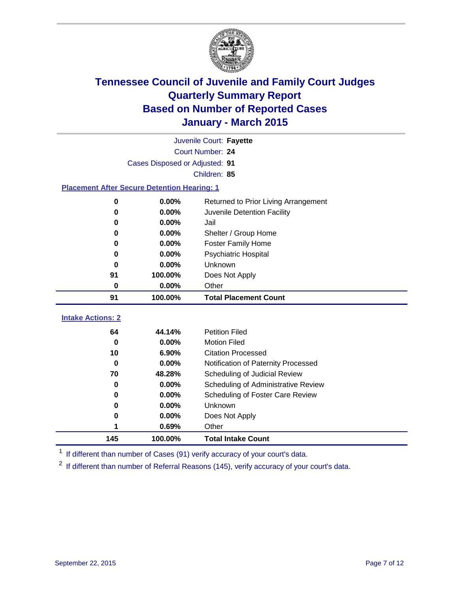

|                                                    | Juvenile Court: Fayette        |                                         |  |  |  |
|----------------------------------------------------|--------------------------------|-----------------------------------------|--|--|--|
|                                                    | Court Number: 24               |                                         |  |  |  |
|                                                    | Cases Disposed or Adjusted: 91 |                                         |  |  |  |
| Children: 85                                       |                                |                                         |  |  |  |
| <b>Placement After Secure Detention Hearing: 1</b> |                                |                                         |  |  |  |
| 0                                                  | 0.00%                          | Returned to Prior Living Arrangement    |  |  |  |
| $\bf{0}$                                           | 0.00%                          | Juvenile Detention Facility             |  |  |  |
| 0                                                  | 0.00%                          | Jail                                    |  |  |  |
| 0                                                  | 0.00%                          | Shelter / Group Home                    |  |  |  |
| 0                                                  | $0.00\%$                       | <b>Foster Family Home</b>               |  |  |  |
| 0                                                  | 0.00%                          | <b>Psychiatric Hospital</b>             |  |  |  |
| O                                                  | 0.00%                          | Unknown                                 |  |  |  |
| 91                                                 | 100.00%                        | Does Not Apply                          |  |  |  |
| 0                                                  | 0.00%                          | Other                                   |  |  |  |
| 91                                                 | 100.00%                        | <b>Total Placement Count</b>            |  |  |  |
| <b>Intake Actions: 2</b>                           |                                |                                         |  |  |  |
| 64                                                 | 44.14%                         | <b>Petition Filed</b>                   |  |  |  |
| $\bf{0}$                                           | 0.00%                          | <b>Motion Filed</b>                     |  |  |  |
| 10                                                 | 6.90%                          | <b>Citation Processed</b>               |  |  |  |
| $\bf{0}$                                           | 0.00%                          | Notification of Paternity Processed     |  |  |  |
| 70                                                 | 48.28%                         | Scheduling of Judicial Review           |  |  |  |
| $\bf{0}$                                           | 0.00%                          | Scheduling of Administrative Review     |  |  |  |
| 0                                                  | 0.00%                          | <b>Scheduling of Foster Care Review</b> |  |  |  |
| $\bf{0}$                                           | 0.00%                          | Unknown                                 |  |  |  |
| 0                                                  | 0.00%                          | Does Not Apply                          |  |  |  |
| 1                                                  | 0.69%                          | Other                                   |  |  |  |
| 145                                                | 100.00%                        | <b>Total Intake Count</b>               |  |  |  |

<sup>1</sup> If different than number of Cases (91) verify accuracy of your court's data.

If different than number of Referral Reasons (145), verify accuracy of your court's data.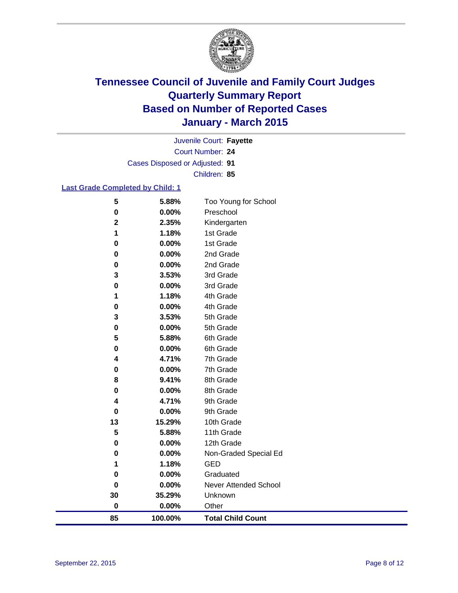

Court Number: **24** Juvenile Court: **Fayette** Cases Disposed or Adjusted: **91** Children: **85**

### **Last Grade Completed by Child: 1**

| 85               | 100.00%        | <b>Total Child Count</b>  |
|------------------|----------------|---------------------------|
| $\bf{0}$         | 0.00%          | Other                     |
| 30               | 35.29%         | Unknown                   |
| $\bf{0}$         | 0.00%          | Never Attended School     |
| 0                | 0.00%          | Graduated                 |
| 1                | 1.18%          | <b>GED</b>                |
| $\bf{0}$         | 0.00%          | Non-Graded Special Ed     |
| 0                | 0.00%          | 12th Grade                |
| 5                | 5.88%          | 11th Grade                |
| 13               | 15.29%         | 10th Grade                |
| 0                | 0.00%          | 9th Grade                 |
| 4                | 4.71%          | 9th Grade                 |
| 0                | 0.00%          | 8th Grade                 |
| 8                | 9.41%          | 8th Grade                 |
| 0                | 0.00%          | 7th Grade                 |
| 4                | 4.71%          | 7th Grade                 |
| 0                | 0.00%          | 6th Grade                 |
| 5                | 5.88%          | 6th Grade                 |
| $\bf{0}$         | 0.00%          | 5th Grade                 |
| 3                | 3.53%          | 5th Grade                 |
| $\bf{0}$         | 0.00%          | 4th Grade                 |
| 1                | 1.18%          | 4th Grade                 |
| $\bf{0}$         | 0.00%          | 3rd Grade                 |
| 3                | 3.53%          | 3rd Grade                 |
| 0                | 0.00%          | 2nd Grade                 |
| 0                | 0.00%          | 2nd Grade                 |
| $\bf{0}$         | 0.00%          | 1st Grade                 |
| $\mathbf 2$<br>1 | 2.35%<br>1.18% | Kindergarten<br>1st Grade |
| $\bf{0}$         | 0.00%          | Preschool                 |
| 5                | 5.88%          | Too Young for School      |
|                  |                |                           |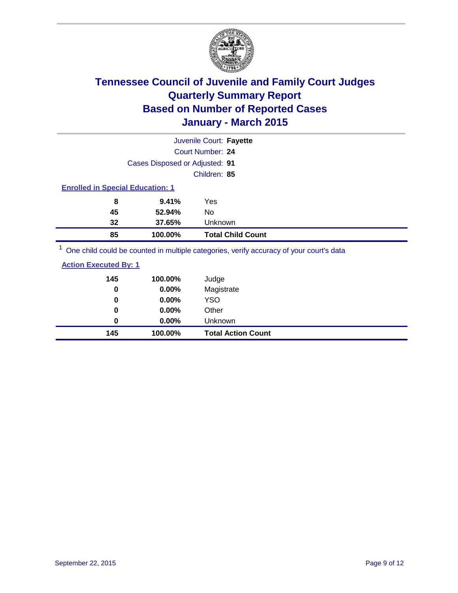

|                                                                                          | Juvenile Court: Fayette                                                                                         |
|------------------------------------------------------------------------------------------|-----------------------------------------------------------------------------------------------------------------|
|                                                                                          | Court Number: 24                                                                                                |
| Cases Disposed or Adjusted: 91                                                           |                                                                                                                 |
|                                                                                          | Children: 85                                                                                                    |
| <b>Enrolled in Special Education: 1</b>                                                  |                                                                                                                 |
| 8<br>9.41%                                                                               | Yes                                                                                                             |
| 45<br>52.94%                                                                             | No                                                                                                              |
| 32<br>37.65%                                                                             | Unknown                                                                                                         |
| 85<br>100.00%                                                                            | <b>Total Child Count</b>                                                                                        |
| $1 -$<br>the contract of the contract of the contract of the contract of the contract of | the contract of the contract of the contract of the contract of the contract of the contract of the contract of |

One child could be counted in multiple categories, verify accuracy of your court's data

| <b>Action Executed By: 1</b> |         |      |
|------------------------------|---------|------|
| 145                          | 100.00% | Judo |

| 145 | 100.00%  | <b>Total Action Count</b> |
|-----|----------|---------------------------|
| 0   | $0.00\%$ | Unknown                   |
| 0   | $0.00\%$ | Other                     |
| 0   | $0.00\%$ | <b>YSO</b>                |
| 0   | $0.00\%$ | Magistrate                |
| 145 | 100.00%  | Judge                     |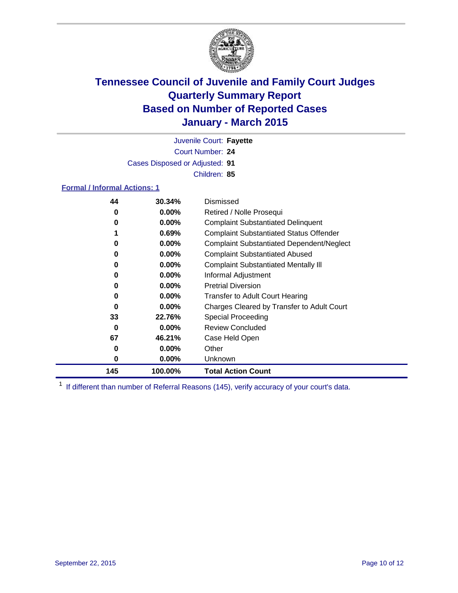

Court Number: **24** Juvenile Court: **Fayette** Cases Disposed or Adjusted: **91** Children: **85**

### **Formal / Informal Actions: 1**

| 44  | 30.34%   | Dismissed                                        |
|-----|----------|--------------------------------------------------|
| 0   | $0.00\%$ | Retired / Nolle Prosequi                         |
| 0   | $0.00\%$ | <b>Complaint Substantiated Delinquent</b>        |
| 1   | 0.69%    | <b>Complaint Substantiated Status Offender</b>   |
| 0   | $0.00\%$ | <b>Complaint Substantiated Dependent/Neglect</b> |
| 0   | $0.00\%$ | <b>Complaint Substantiated Abused</b>            |
| 0   | $0.00\%$ | <b>Complaint Substantiated Mentally III</b>      |
| 0   | $0.00\%$ | Informal Adjustment                              |
| 0   | $0.00\%$ | <b>Pretrial Diversion</b>                        |
| 0   | $0.00\%$ | <b>Transfer to Adult Court Hearing</b>           |
| 0   | $0.00\%$ | Charges Cleared by Transfer to Adult Court       |
| 33  | 22.76%   | Special Proceeding                               |
| 0   | $0.00\%$ | <b>Review Concluded</b>                          |
| 67  | 46.21%   | Case Held Open                                   |
| 0   | $0.00\%$ | Other                                            |
| 0   | $0.00\%$ | <b>Unknown</b>                                   |
| 145 | 100.00%  | <b>Total Action Count</b>                        |

<sup>1</sup> If different than number of Referral Reasons (145), verify accuracy of your court's data.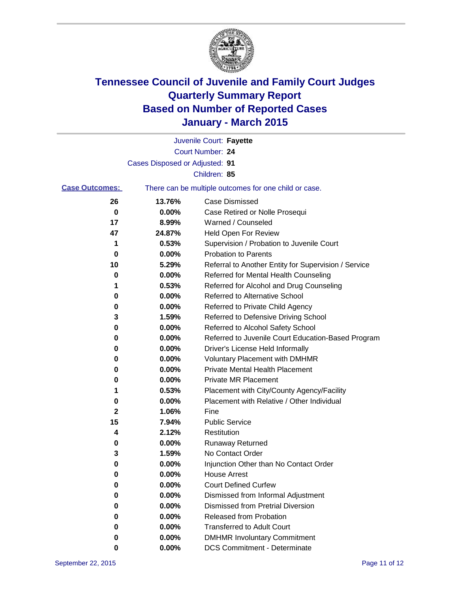

|                       |                                | Juvenile Court: Fayette                               |
|-----------------------|--------------------------------|-------------------------------------------------------|
|                       |                                | Court Number: 24                                      |
|                       | Cases Disposed or Adjusted: 91 |                                                       |
|                       |                                | Children: 85                                          |
| <b>Case Outcomes:</b> |                                | There can be multiple outcomes for one child or case. |
| 26                    | 13.76%                         | <b>Case Dismissed</b>                                 |
| 0                     | 0.00%                          | Case Retired or Nolle Prosequi                        |
| 17                    | 8.99%                          | Warned / Counseled                                    |
| 47                    | 24.87%                         | Held Open For Review                                  |
| 1                     | 0.53%                          | Supervision / Probation to Juvenile Court             |
| 0                     | 0.00%                          | <b>Probation to Parents</b>                           |
| 10                    | 5.29%                          | Referral to Another Entity for Supervision / Service  |
| 0                     | 0.00%                          | Referred for Mental Health Counseling                 |
| 1                     | 0.53%                          | Referred for Alcohol and Drug Counseling              |
| 0                     | 0.00%                          | Referred to Alternative School                        |
| 0                     | 0.00%                          | Referred to Private Child Agency                      |
| 3                     | 1.59%                          | Referred to Defensive Driving School                  |
| 0                     | 0.00%                          | Referred to Alcohol Safety School                     |
| 0                     | 0.00%                          | Referred to Juvenile Court Education-Based Program    |
| 0                     | 0.00%                          | Driver's License Held Informally                      |
| 0                     | 0.00%                          | <b>Voluntary Placement with DMHMR</b>                 |
| 0                     | 0.00%                          | <b>Private Mental Health Placement</b>                |
| 0                     | 0.00%                          | Private MR Placement                                  |
| 1                     | 0.53%                          | Placement with City/County Agency/Facility            |
| 0                     | 0.00%                          | Placement with Relative / Other Individual            |
| 2                     | 1.06%                          | Fine                                                  |
| 15                    | 7.94%                          | <b>Public Service</b>                                 |
| 4                     | 2.12%                          | Restitution                                           |
| 0                     | 0.00%                          | <b>Runaway Returned</b>                               |
| 3                     | 1.59%                          | No Contact Order                                      |
| 0                     | 0.00%                          | Injunction Other than No Contact Order                |
| U                     | 0.00%                          | <b>House Arrest</b>                                   |
| 0                     | 0.00%                          | <b>Court Defined Curfew</b>                           |
| 0                     | 0.00%                          | Dismissed from Informal Adjustment                    |
| 0                     | 0.00%                          | <b>Dismissed from Pretrial Diversion</b>              |
| 0                     | 0.00%                          | Released from Probation                               |
| 0                     | 0.00%                          | <b>Transferred to Adult Court</b>                     |
| o                     | 0.00%                          | <b>DMHMR Involuntary Commitment</b>                   |
| 0                     | 0.00%                          | <b>DCS Commitment - Determinate</b>                   |